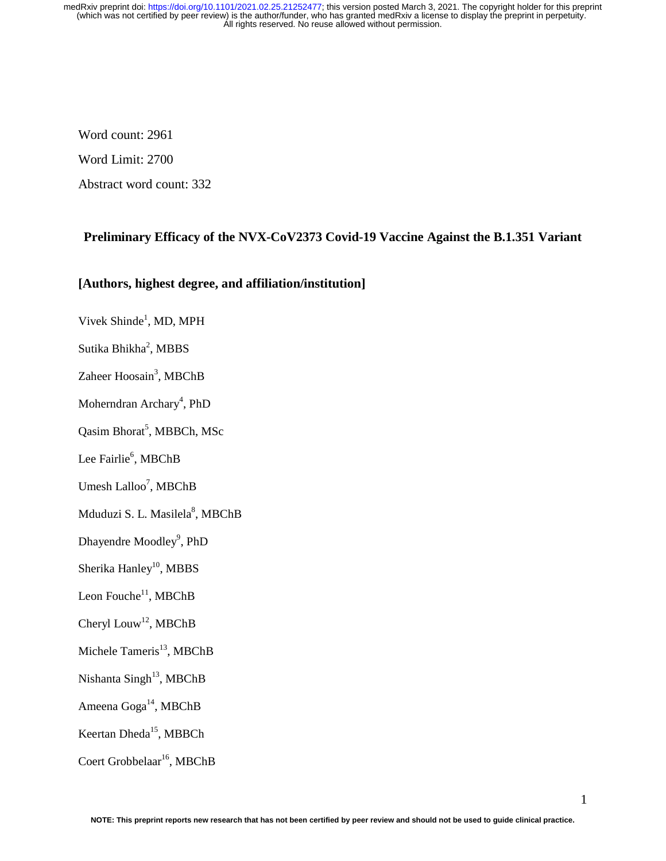Word count: 2961

Word Limit: 2700

Abstract word count: 332

# **Preliminary Efficacy of the NVX-CoV2373 Covid-19 Vaccine Against the B.1.351 Variant**

## **[Authors, highest degree, and affiliation/institution]**

- Vivek Shinde<sup>1</sup>, MD, MPH
- Sutika Bhikha<sup>2</sup>, MBBS

Zaheer Hoosain<sup>3</sup>, MBChB

Moherndran Archary<sup>4</sup>, PhD

Qasim Bhorat<sup>5</sup>, MBBCh, MSc

Lee Fairlie<sup>6</sup>, MBChB

Umesh Lalloo<sup>7</sup>, MBChB

Mduduzi S. L. Masilela<sup>8</sup>, MBChB

Dhayendre Moodley<sup>9</sup>, PhD

Sherika Hanley<sup>10</sup>, MBBS

Leon Fouche $11$ , MBChB

Cheryl Louw<sup>12</sup>, MBChB

Michele Tameris $^{13}$ , MBChB

Nishanta Singh<sup>13</sup>, MBChB

Ameena Goga<sup>14</sup>, MBChB

Keertan Dheda<sup>15</sup>, MBBCh

Coert Grobbelaar<sup>16</sup>, MBChB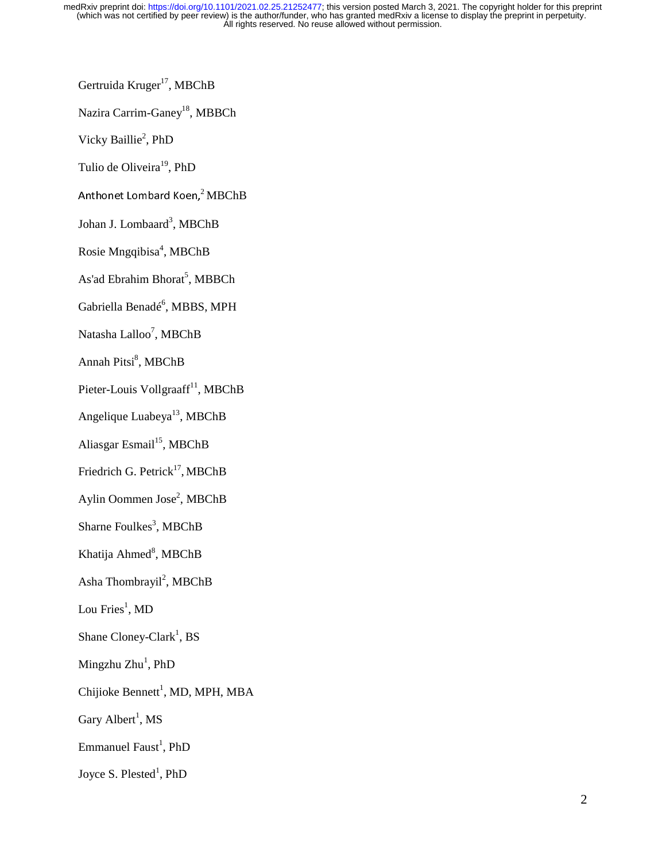Gertruida Kruger<sup>17</sup>, MBChB

Nazira Carrim-Ganey<sup>18</sup>, MBBCh

Vicky Baillie<sup>2</sup>, PhD

Tulio de Oliveira<sup>19</sup>, PhD

Anthonet Lombard Koen,<sup>2</sup> MBChB

Johan J. Lombaard<sup>3</sup>, MBChB

Rosie Mngqibisa<sup>4</sup>, MBChB

As'ad Ebrahim Bhorat<sup>5</sup>, MBBCh

Gabriella Benadé<sup>6</sup>, MBBS, MPH

Natasha Lalloo<sup>7</sup>, MBChB

Annah Pitsi<sup>8</sup>, MBChB

Pieter-Louis Vollgraaff<sup>11</sup>, MBChB

Angelique Luabeya<sup>13</sup>, MBChB

Aliasgar Esmail $^{15}$ , MBChB

Friedrich G. Petrick<sup>17</sup>, MBChB

Aylin Oommen Jose<sup>2</sup>, MBChB

Sharne Foulkes<sup>3</sup>, MBChB

Khatija Ahmed<sup>8</sup>, MBChB

Asha Thombrayil<sup>2</sup>, MBChB

Lou Fries $^1$ , MD

Shane Cloney-Clark<sup>1</sup>, BS

Mingzhu Zhu<sup>1</sup>, PhD

Chijioke Bennett<sup>1</sup>, MD, MPH, MBA

Gary Albert<sup>1</sup>, MS

Emmanuel Faust<sup>1</sup>, PhD

Joyce S. Plested<sup>1</sup>, PhD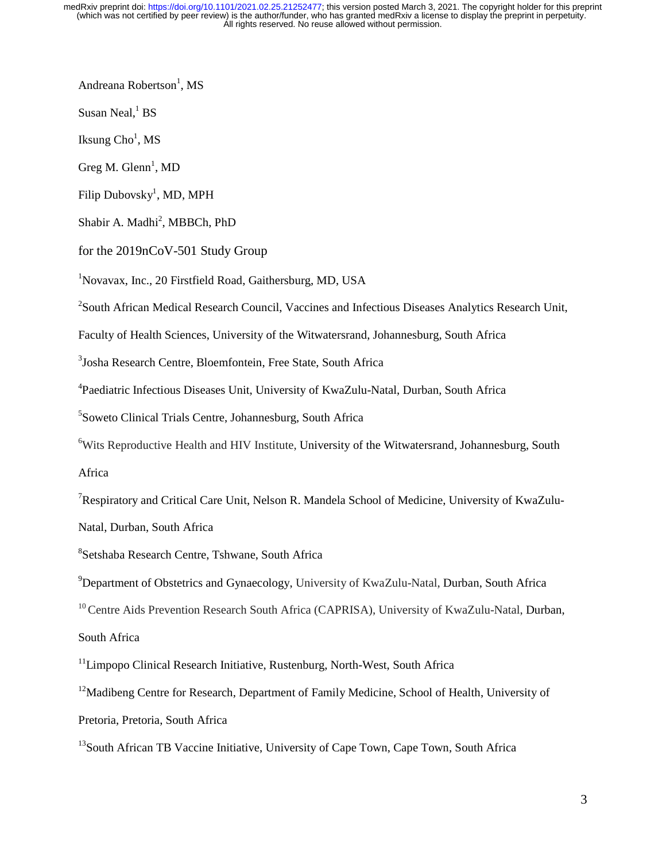Andreana Robertson<sup>1</sup>, MS

Susan Neal, ${}^{1}$  BS

Iksung  $\mathrm{Cho}^1$ , MS

 $Greg M. Glenn<sup>1</sup>, MD$ 

Filip Dubovsky<sup>1</sup>, MD, MPH

Shabir A. Madhi<sup>2</sup>, MBBCh, PhD

for the 2019nCoV-501 Study Group

1 Novavax, Inc., 20 Firstfield Road, Gaithersburg, MD, USA

<sup>2</sup> South African Medical Research Council, Vaccines and Infectious Diseases Analytics Research Unit,

Faculty of Health Sciences, University of the Witwatersrand, Johannesburg, South Africa

3 Josha Research Centre, Bloemfontein, Free State, South Africa

4 Paediatric Infectious Diseases Unit, University of KwaZulu-Natal, Durban, South Africa

5 Soweto Clinical Trials Centre, Johannesburg, South Africa

<sup>6</sup>Wits Reproductive Health and HIV Institute, University of the Witwatersrand, Johannesburg, South Africa

<sup>7</sup>Respiratory and Critical Care Unit, Nelson R. Mandela School of Medicine, University of KwaZulu-Natal, Durban, South Africa

8 Setshaba Research Centre, Tshwane, South Africa

<sup>9</sup>Department of Obstetrics and Gynaecology, University of KwaZulu-Natal, Durban, South Africa

<sup>10</sup> Centre Aids Prevention Research South Africa (CAPRISA), University of KwaZulu-Natal, Durban,

South Africa

<sup>11</sup>Limpopo Clinical Research Initiative, Rustenburg, North-West, South Africa

<sup>12</sup>Madibeng Centre for Research, Department of Family Medicine, School of Health, University of

Pretoria, Pretoria, South Africa

<sup>13</sup>South African TB Vaccine Initiative, University of Cape Town, Cape Town, South Africa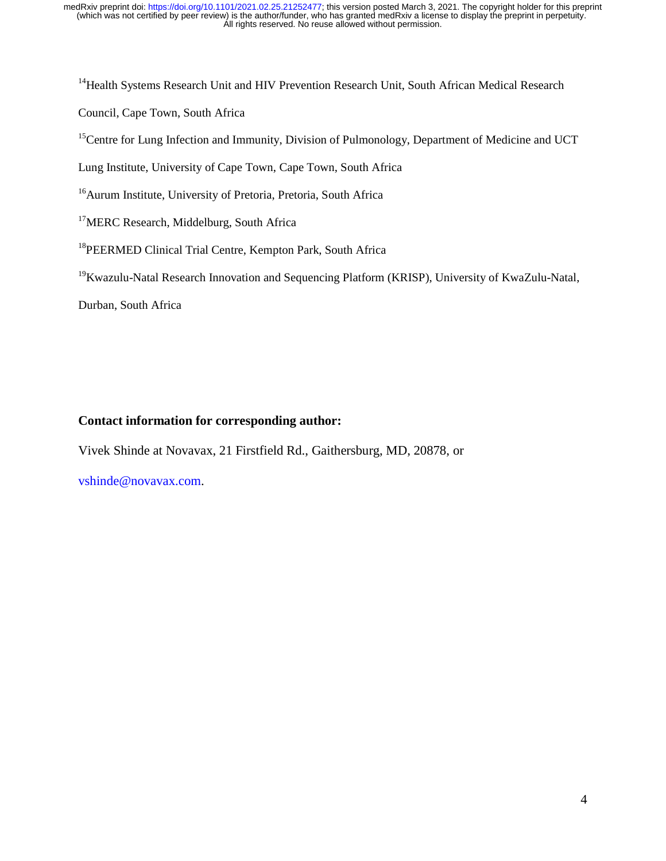<sup>14</sup> Health Systems Research Unit and HIV Prevention Research Unit, South African Medical Research

Council, Cape Town, South Africa

<sup>15</sup>Centre for Lung Infection and Immunity, Division of Pulmonology, Department of Medicine and UCT

Lung Institute, University of Cape Town, Cape Town, South Africa

<sup>16</sup>Aurum Institute, University of Pretoria, Pretoria, South Africa

<sup>17</sup>MERC Research, Middelburg, South Africa

<sup>18</sup>PEERMED Clinical Trial Centre, Kempton Park, South Africa

<sup>19</sup>Kwazulu-Natal Research Innovation and Sequencing Platform (KRISP), University of KwaZulu-Natal,

Durban, South Africa

# **Contact information for corresponding author:**

Vivek Shinde at Novavax, 21 Firstfield Rd., Gaithersburg, MD, 20878, or

vshinde@novavax.com.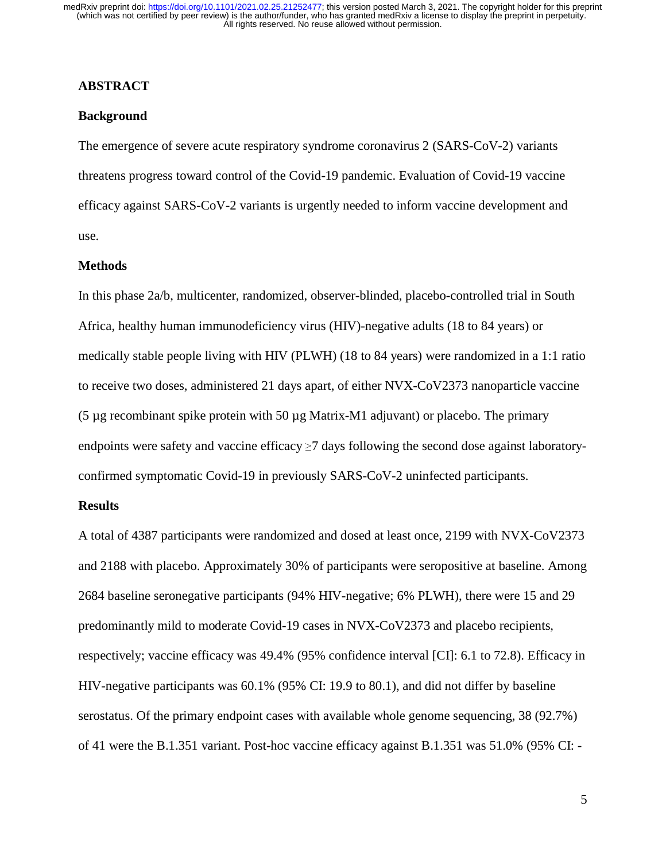## **ABSTRACT**

## **Background**

The emergence of severe acute respiratory syndrome coronavirus 2 (SARS-CoV-2) variants threatens progress toward control of the Covid-19 pandemic. Evaluation of Covid-19 vaccine efficacy against SARS-CoV-2 variants is urgently needed to inform vaccine development and use.

#### **Methods**

In this phase 2a/b, multicenter, randomized, observer-blinded, placebo-controlled trial in South Africa, healthy human immunodeficiency virus (HIV)-negative adults (18 to 84 years) or medically stable people living with HIV (PLWH) (18 to 84 years) were randomized in a 1:1 ratio to receive two doses, administered 21 days apart, of either NVX-CoV2373 nanoparticle vaccine (5  $\mu$ g recombinant spike protein with 50  $\mu$ g Matrix-M1 adjuvant) or placebo. The primary endpoints were safety and vaccine efficacy  $\geq$  7 days following the second dose against laboratoryconfirmed symptomatic Covid-19 in previously SARS-CoV-2 uninfected participants.

#### **Results**

A total of 4387 participants were randomized and dosed at least once, 2199 with NVX-CoV2373 and 2188 with placebo. Approximately 30% of participants were seropositive at baseline. Among 2684 baseline seronegative participants (94% HIV-negative; 6% PLWH), there were 15 and 29 predominantly mild to moderate Covid-19 cases in NVX-CoV2373 and placebo recipients, respectively; vaccine efficacy was 49.4% (95% confidence interval [CI]: 6.1 to 72.8). Efficacy in HIV-negative participants was 60.1% (95% CI: 19.9 to 80.1), and did not differ by baseline serostatus. Of the primary endpoint cases with available whole genome sequencing, 38 (92.7%) of 41 were the B.1.351 variant. Post-hoc vaccine efficacy against B.1.351 was 51.0% (95% CI: -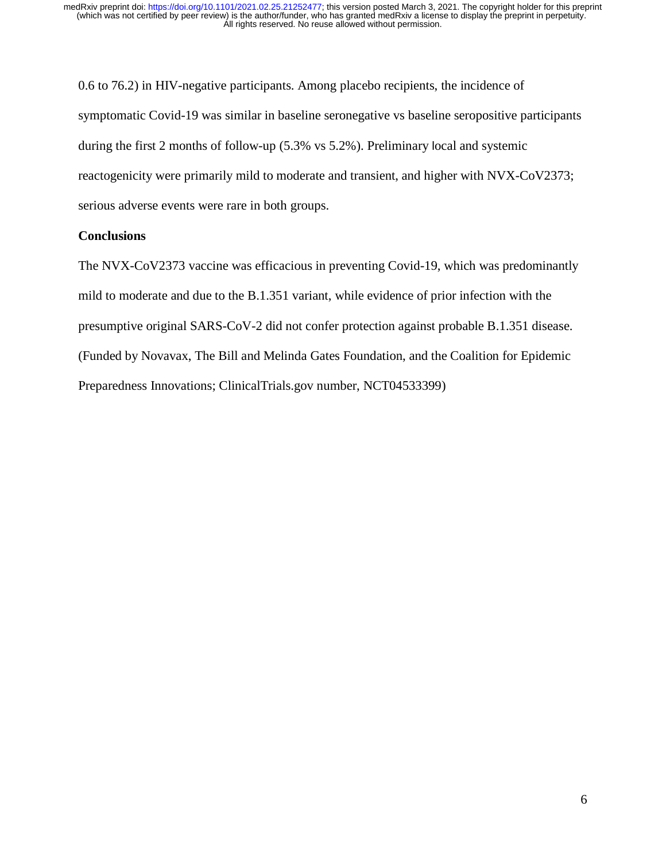0.6 to 76.2) in HIV-negative participants. Among placebo recipients, the incidence of symptomatic Covid-19 was similar in baseline seronegative vs baseline seropositive participants during the first 2 months of follow-up (5.3% vs 5.2%). Preliminary local and systemic reactogenicity were primarily mild to moderate and transient, and higher with NVX-CoV2373; serious adverse events were rare in both groups.

## **Conclusions**

The NVX-CoV2373 vaccine was efficacious in preventing Covid-19, which was predominantly mild to moderate and due to the B.1.351 variant, while evidence of prior infection with the presumptive original SARS-CoV-2 did not confer protection against probable B.1.351 disease. (Funded by Novavax, The Bill and Melinda Gates Foundation, and the Coalition for Epidemic Preparedness Innovations; ClinicalTrials.gov number, NCT04533399)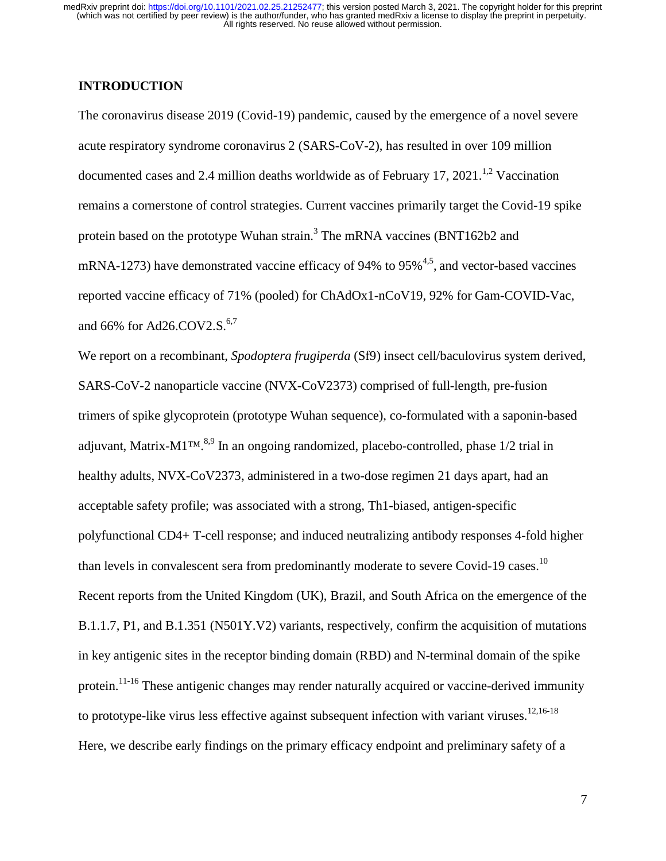## **INTRODUCTION**

The coronavirus disease 2019 (Covid-19) pandemic, caused by the emergence of a novel severe acute respiratory syndrome coronavirus 2 (SARS-CoV-2), has resulted in over 109 million documented cases and 2.4 million deaths worldwide as of February 17, 2021.<sup>1,2</sup> Vaccination remains a cornerstone of control strategies. Current vaccines primarily target the Covid-19 spike protein based on the prototype Wuhan strain.<sup>3</sup> The mRNA vaccines (BNT162b2 and mRNA-1273) have demonstrated vaccine efficacy of 94% to 95% $^{4,5}$ , and vector-based vaccines reported vaccine efficacy of 71% (pooled) for ChAdOx1-nCoV19, 92% for Gam-COVID-Vac, and 66% for Ad26.COV2.S. $^{6,7}$ 

We report on a recombinant, *Spodoptera frugiperda* (Sf9) insect cell/baculovirus system derived, SARS-CoV-2 nanoparticle vaccine (NVX-CoV2373) comprised of full-length, pre-fusion trimers of spike glycoprotein (prototype Wuhan sequence), co-formulated with a saponin-based adjuvant, Matrix-M1<sup>™, 8,9</sup> In an ongoing randomized, placebo-controlled, phase  $1/2$  trial in healthy adults, NVX-CoV2373, administered in a two-dose regimen 21 days apart, had an acceptable safety profile; was associated with a strong, Th1-biased, antigen-specific polyfunctional CD4+ T-cell response; and induced neutralizing antibody responses 4-fold higher than levels in convalescent sera from predominantly moderate to severe Covid-19 cases.<sup>10</sup> Recent reports from the United Kingdom (UK), Brazil, and South Africa on the emergence of the B.1.1.7, P1, and B.1.351 (N501Y.V2) variants, respectively, confirm the acquisition of mutations in key antigenic sites in the receptor binding domain (RBD) and N-terminal domain of the spike protein.<sup>11-16</sup> These antigenic changes may render naturally acquired or vaccine-derived immunity to prototype-like virus less effective against subsequent infection with variant viruses.<sup>12,16-18</sup> Here, we describe early findings on the primary efficacy endpoint and preliminary safety of a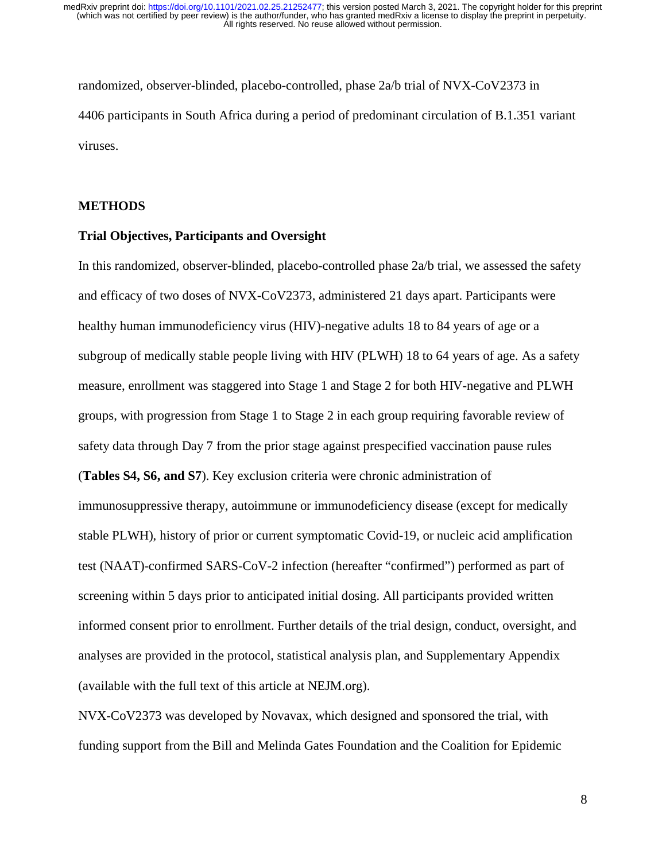randomized, observer-blinded, placebo-controlled, phase 2a/b trial of NVX-CoV2373 in 4406 participants in South Africa during a period of predominant circulation of B.1.351 variant viruses.

#### **METHODS**

## **Trial Objectives, Participants and Oversight**

In this randomized, observer-blinded, placebo-controlled phase 2a/b trial, we assessed the safety and efficacy of two doses of NVX-CoV2373, administered 21 days apart. Participants were healthy human immunodeficiency virus (HIV)-negative adults 18 to 84 years of age or a subgroup of medically stable people living with HIV (PLWH) 18 to 64 years of age. As a safety measure, enrollment was staggered into Stage 1 and Stage 2 for both HIV-negative and PLWH groups, with progression from Stage 1 to Stage 2 in each group requiring favorable review of safety data through Day 7 from the prior stage against prespecified vaccination pause rules (**Tables S4, S6, and S7**). Key exclusion criteria were chronic administration of immunosuppressive therapy, autoimmune or immunodeficiency disease (except for medically stable PLWH), history of prior or current symptomatic Covid-19, or nucleic acid amplification test (NAAT)-confirmed SARS-CoV-2 infection (hereafter "confirmed") performed as part of screening within 5 days prior to anticipated initial dosing. All participants provided written informed consent prior to enrollment. Further details of the trial design, conduct, oversight, and analyses are provided in the protocol, statistical analysis plan, and Supplementary Appendix (available with the full text of this article at NEJM.org).

NVX-CoV2373 was developed by Novavax, which designed and sponsored the trial, with funding support from the Bill and Melinda Gates Foundation and the Coalition for Epidemic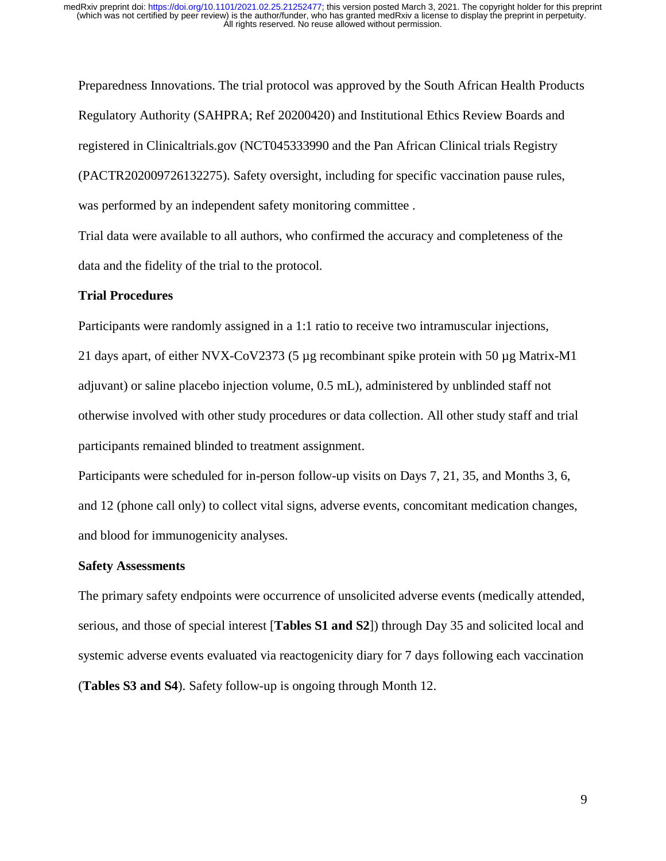Preparedness Innovations. The trial protocol was approved by the South African Health Products Regulatory Authority (SAHPRA; Ref 20200420) and Institutional Ethics Review Boards and registered in Clinicaltrials.gov (NCT045333990 and the Pan African Clinical trials Registry (PACTR202009726132275). Safety oversight, including for specific vaccination pause rules, was performed by an independent safety monitoring committee .

Trial data were available to all authors, who confirmed the accuracy and completeness of the data and the fidelity of the trial to the protocol.

## **Trial Procedures**

Participants were randomly assigned in a 1:1 ratio to receive two intramuscular injections,

21 days apart, of either NVX-CoV2373 (5 µg recombinant spike protein with 50 µg Matrix-M1 adjuvant) or saline placebo injection volume, 0.5 mL), administered by unblinded staff not otherwise involved with other study procedures or data collection. All other study staff and trial participants remained blinded to treatment assignment.

Participants were scheduled for in-person follow-up visits on Days 7, 21, 35, and Months 3, 6, and 12 (phone call only) to collect vital signs, adverse events, concomitant medication changes, and blood for immunogenicity analyses.

## **Safety Assessments**

The primary safety endpoints were occurrence of unsolicited adverse events (medically attended, serious, and those of special interest [**Tables S1 and S2**]) through Day 35 and solicited local and systemic adverse events evaluated via reactogenicity diary for 7 days following each vaccination (**Tables S3 and S4**). Safety follow-up is ongoing through Month 12.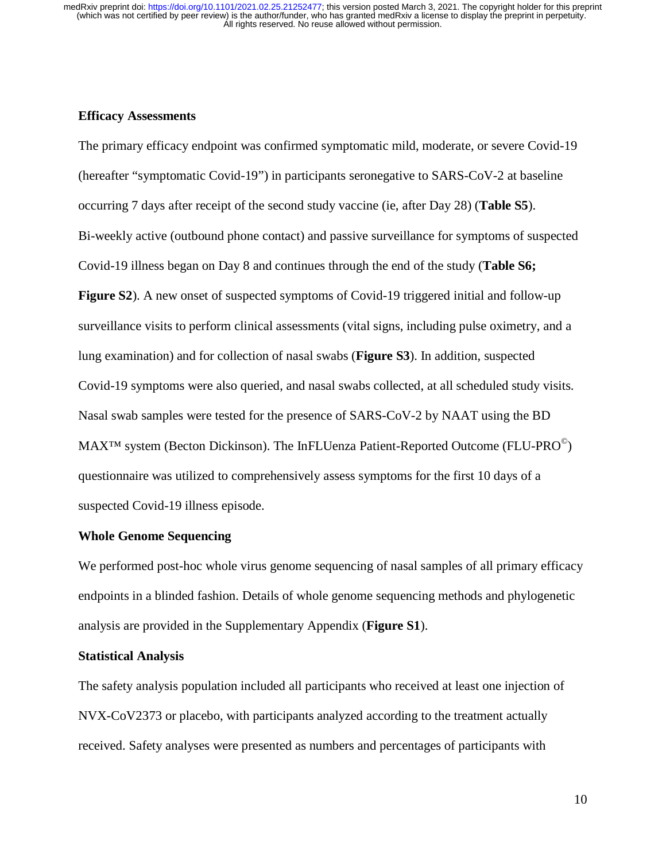## **Efficacy Assessments**

The primary efficacy endpoint was confirmed symptomatic mild, moderate, or severe Covid-19 (hereafter "symptomatic Covid-19") in participants seronegative to SARS-CoV-2 at baseline occurring 7 days after receipt of the second study vaccine (ie, after Day 28) (**Table S5**). Bi-weekly active (outbound phone contact) and passive surveillance for symptoms of suspected Covid-19 illness began on Day 8 and continues through the end of the study (**Table S6; Figure S2**). A new onset of suspected symptoms of Covid-19 triggered initial and follow-up surveillance visits to perform clinical assessments (vital signs, including pulse oximetry, and a lung examination) and for collection of nasal swabs (**Figure S3**). In addition, suspected Covid-19 symptoms were also queried, and nasal swabs collected, at all scheduled study visits. Nasal swab samples were tested for the presence of SARS-CoV-2 by NAAT using the BD  $MAX^{TM}$  system (Becton Dickinson). The InFLUenza Patient-Reported Outcome (FLU-PRO $^{\circ}$ ) questionnaire was utilized to comprehensively assess symptoms for the first 10 days of a suspected Covid-19 illness episode.

#### **Whole Genome Sequencing**

We performed post-hoc whole virus genome sequencing of nasal samples of all primary efficacy endpoints in a blinded fashion. Details of whole genome sequencing methods and phylogenetic analysis are provided in the Supplementary Appendix (**Figure S1**).

#### **Statistical Analysis**

The safety analysis population included all participants who received at least one injection of NVX-CoV2373 or placebo, with participants analyzed according to the treatment actually received. Safety analyses were presented as numbers and percentages of participants with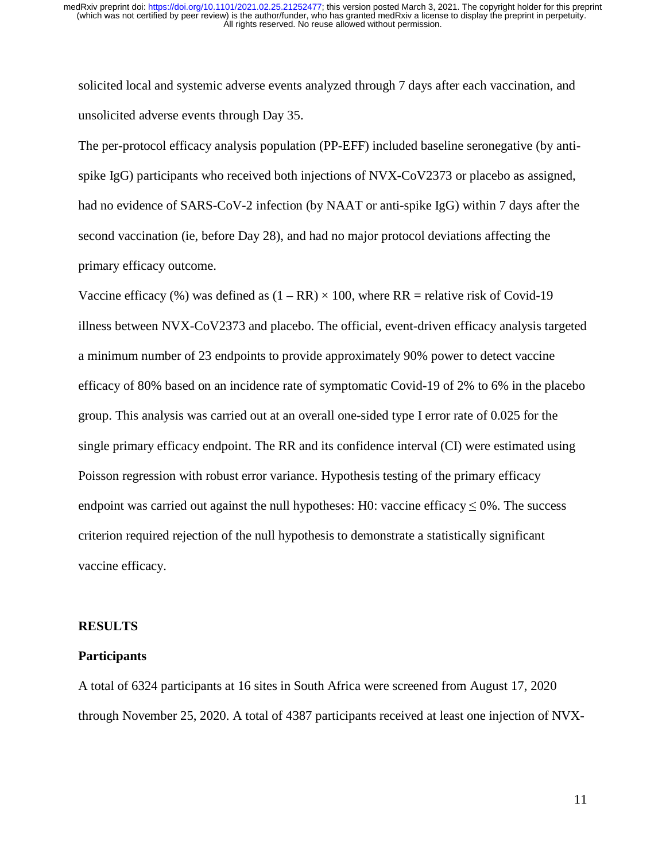solicited local and systemic adverse events analyzed through 7 days after each vaccination, and unsolicited adverse events through Day 35.

The per-protocol efficacy analysis population (PP-EFF) included baseline seronegative (by antispike IgG) participants who received both injections of NVX-CoV2373 or placebo as assigned, had no evidence of SARS-CoV-2 infection (by NAAT or anti-spike IgG) within 7 days after the second vaccination (ie, before Day 28), and had no major protocol deviations affecting the primary efficacy outcome.

Vaccine efficacy (%) was defined as  $(1 - RR) \times 100$ , where RR = relative risk of Covid-19 illness between NVX-CoV2373 and placebo. The official, event-driven efficacy analysis targeted a minimum number of 23 endpoints to provide approximately 90% power to detect vaccine efficacy of 80% based on an incidence rate of symptomatic Covid-19 of 2% to 6% in the placebo group. This analysis was carried out at an overall one-sided type I error rate of 0.025 for the single primary efficacy endpoint. The RR and its confidence interval (CI) were estimated using Poisson regression with robust error variance. Hypothesis testing of the primary efficacy endpoint was carried out against the null hypotheses: H0: vaccine efficacy  $\leq 0\%$ . The success criterion required rejection of the null hypothesis to demonstrate a statistically significant vaccine efficacy.

#### **RESULTS**

#### **Participants**

A total of 6324 participants at 16 sites in South Africa were screened from August 17, 2020 through November 25, 2020. A total of 4387 participants received at least one injection of NVX-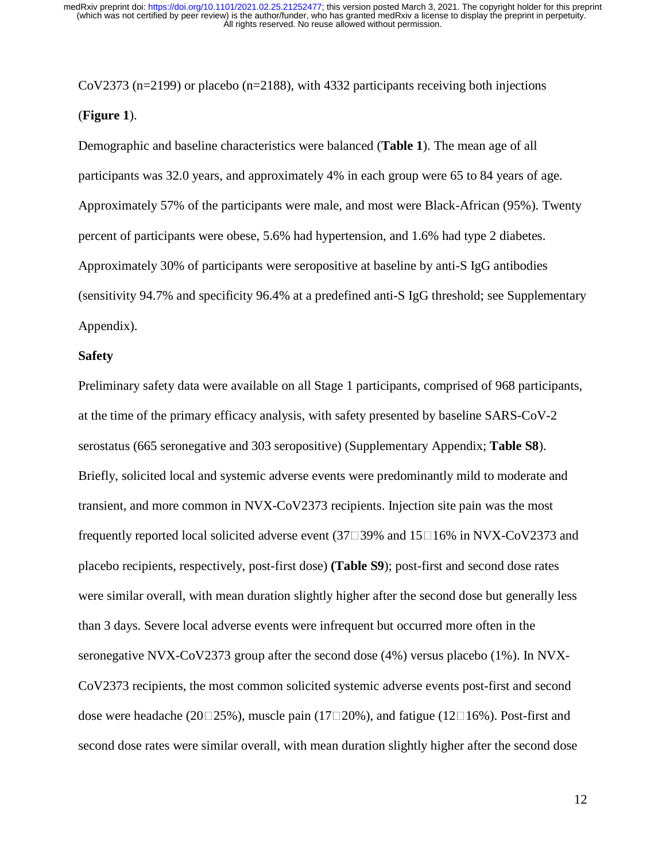CoV2373 (n=2199) or placebo (n=2188), with 4332 participants receiving both injections (**Figure 1**).

Demographic and baseline characteristics were balanced (**Table 1**). The mean age of all participants was 32.0 years, and approximately 4% in each group were 65 to 84 years of age. Approximately 57% of the participants were male, and most were Black-African (95%). Twenty percent of participants were obese, 5.6% had hypertension, and 1.6% had type 2 diabetes. Approximately 30% of participants were seropositive at baseline by anti-S IgG antibodies (sensitivity 94.7% and specificity 96.4% at a predefined anti-S IgG threshold; see Supplementary Appendix).

#### **Safety**

Preliminary safety data were available on all Stage 1 participants, comprised of 968 participants, at the time of the primary efficacy analysis, with safety presented by baseline SARS-CoV-2 serostatus (665 seronegative and 303 seropositive) (Supplementary Appendix; **Table S8**). Briefly, solicited local and systemic adverse events were predominantly mild to moderate and transient, and more common in NVX-CoV2373 recipients. Injection site pain was the most frequently reported local solicited adverse event  $(37 \square 39\%$  and  $15 \square 16\%$  in NVX-CoV2373 and placebo recipients, respectively, post-first dose) **(Table S9**); post-first and second dose rates were similar overall, with mean duration slightly higher after the second dose but generally less than 3 days. Severe local adverse events were infrequent but occurred more often in the seronegative NVX-CoV2373 group after the second dose (4%) versus placebo (1%). In NVX-CoV2373 recipients, the most common solicited systemic adverse events post-first and second dose were headache (20 $\square$ 25%), muscle pain (17 $\square$ 20%), and fatigue (12 $\square$ 16%). Post-first and second dose rates were similar overall, with mean duration slightly higher after the second dose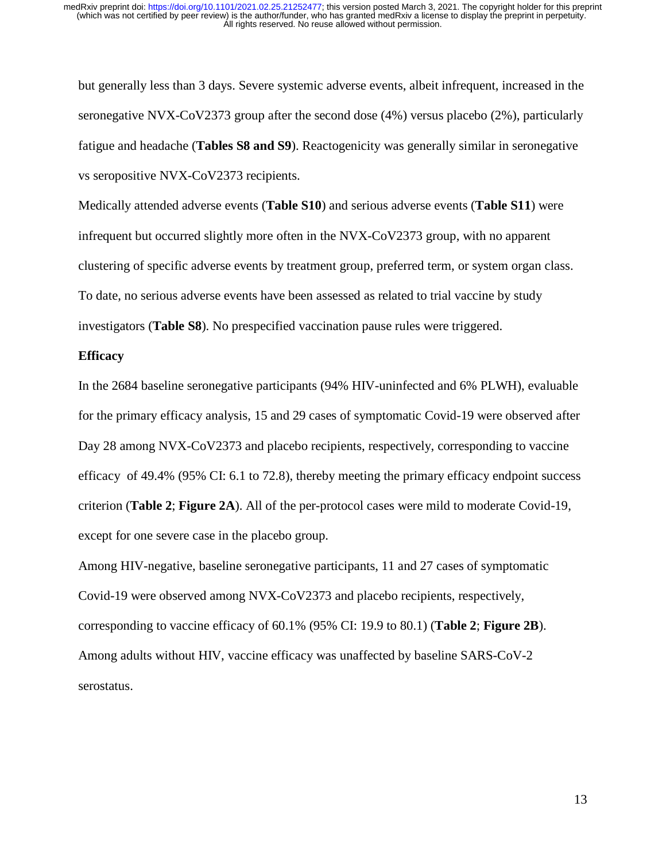but generally less than 3 days. Severe systemic adverse events, albeit infrequent, increased in the seronegative NVX-CoV2373 group after the second dose (4%) versus placebo (2%), particularly fatigue and headache (**Tables S8 and S9**). Reactogenicity was generally similar in seronegative vs seropositive NVX-CoV2373 recipients.

Medically attended adverse events (**Table S10**) and serious adverse events (**Table S11**) were infrequent but occurred slightly more often in the NVX-CoV2373 group, with no apparent clustering of specific adverse events by treatment group, preferred term, or system organ class. To date, no serious adverse events have been assessed as related to trial vaccine by study investigators (**Table S8**). No prespecified vaccination pause rules were triggered.

#### **Efficacy**

In the 2684 baseline seronegative participants (94% HIV-uninfected and 6% PLWH), evaluable for the primary efficacy analysis, 15 and 29 cases of symptomatic Covid-19 were observed after Day 28 among NVX-CoV2373 and placebo recipients, respectively, corresponding to vaccine efficacy of 49.4% (95% CI: 6.1 to 72.8), thereby meeting the primary efficacy endpoint success criterion (**Table 2**; **Figure 2A**). All of the per-protocol cases were mild to moderate Covid-19, except for one severe case in the placebo group.

Among HIV-negative, baseline seronegative participants, 11 and 27 cases of symptomatic Covid-19 were observed among NVX-CoV2373 and placebo recipients, respectively, corresponding to vaccine efficacy of 60.1% (95% CI: 19.9 to 80.1) (**Table 2**; **Figure 2B**). Among adults without HIV, vaccine efficacy was unaffected by baseline SARS-CoV-2 serostatus.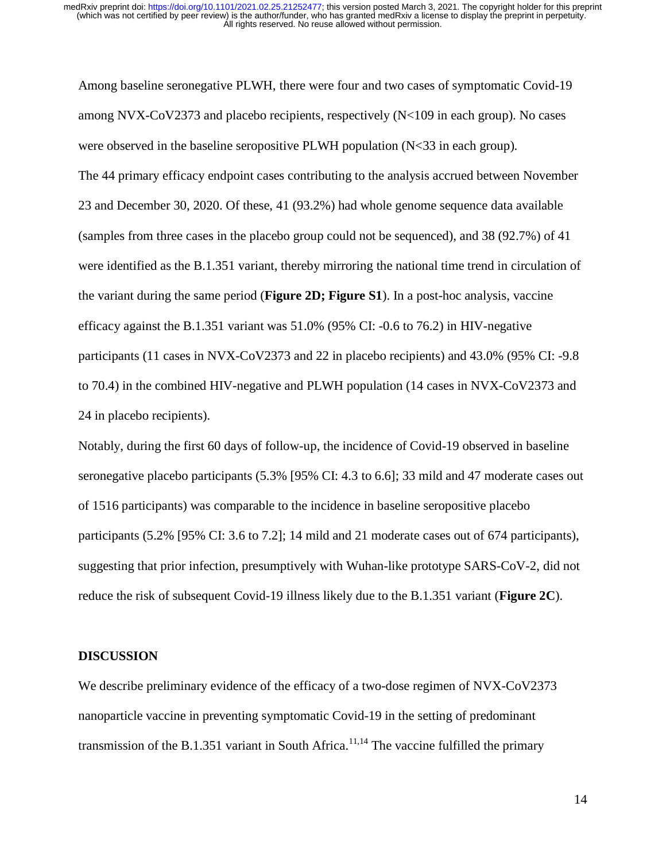Among baseline seronegative PLWH, there were four and two cases of symptomatic Covid-19 among NVX-CoV2373 and placebo recipients, respectively (N<109 in each group). No cases were observed in the baseline seropositive PLWH population (N<33 in each group). The 44 primary efficacy endpoint cases contributing to the analysis accrued between November 23 and December 30, 2020. Of these, 41 (93.2%) had whole genome sequence data available (samples from three cases in the placebo group could not be sequenced), and 38 (92.7%) of 41 were identified as the B.1.351 variant, thereby mirroring the national time trend in circulation of the variant during the same period (**Figure 2D; Figure S1**). In a post-hoc analysis, vaccine efficacy against the B.1.351 variant was 51.0% (95% CI: -0.6 to 76.2) in HIV-negative participants (11 cases in NVX-CoV2373 and 22 in placebo recipients) and 43.0% (95% CI: -9.8 to 70.4) in the combined HIV-negative and PLWH population (14 cases in NVX-CoV2373 and 24 in placebo recipients).

Notably, during the first 60 days of follow-up, the incidence of Covid-19 observed in baseline seronegative placebo participants (5.3% [95% CI: 4.3 to 6.6]; 33 mild and 47 moderate cases out of 1516 participants) was comparable to the incidence in baseline seropositive placebo participants (5.2% [95% CI: 3.6 to 7.2]; 14 mild and 21 moderate cases out of 674 participants), suggesting that prior infection, presumptively with Wuhan-like prototype SARS-CoV-2, did not reduce the risk of subsequent Covid-19 illness likely due to the B.1.351 variant (**Figure 2C**).

#### **DISCUSSION**

We describe preliminary evidence of the efficacy of a two-dose regimen of NVX-CoV2373 nanoparticle vaccine in preventing symptomatic Covid-19 in the setting of predominant transmission of the B.1.351 variant in South Africa.<sup>11,14</sup> The vaccine fulfilled the primary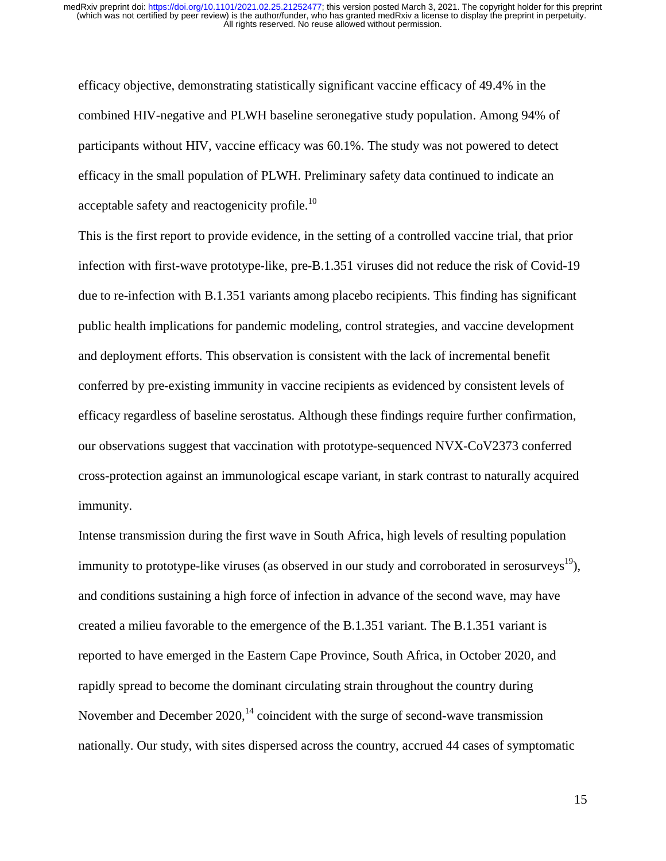efficacy objective, demonstrating statistically significant vaccine efficacy of 49.4% in the combined HIV-negative and PLWH baseline seronegative study population. Among 94% of participants without HIV, vaccine efficacy was 60.1%. The study was not powered to detect efficacy in the small population of PLWH. Preliminary safety data continued to indicate an acceptable safety and reactogenicity profile.<sup>10</sup>

This is the first report to provide evidence, in the setting of a controlled vaccine trial, that prior infection with first-wave prototype-like, pre-B.1.351 viruses did not reduce the risk of Covid-19 due to re-infection with B.1.351 variants among placebo recipients. This finding has significant public health implications for pandemic modeling, control strategies, and vaccine development and deployment efforts. This observation is consistent with the lack of incremental benefit conferred by pre-existing immunity in vaccine recipients as evidenced by consistent levels of efficacy regardless of baseline serostatus. Although these findings require further confirmation, our observations suggest that vaccination with prototype-sequenced NVX-CoV2373 conferred cross-protection against an immunological escape variant, in stark contrast to naturally acquired immunity.

Intense transmission during the first wave in South Africa, high levels of resulting population immunity to prototype-like viruses (as observed in our study and corroborated in serosurveys<sup>19</sup>), and conditions sustaining a high force of infection in advance of the second wave, may have created a milieu favorable to the emergence of the B.1.351 variant. The B.1.351 variant is reported to have emerged in the Eastern Cape Province, South Africa, in October 2020, and rapidly spread to become the dominant circulating strain throughout the country during November and December 2020, $^{14}$  coincident with the surge of second-wave transmission nationally. Our study, with sites dispersed across the country, accrued 44 cases of symptomatic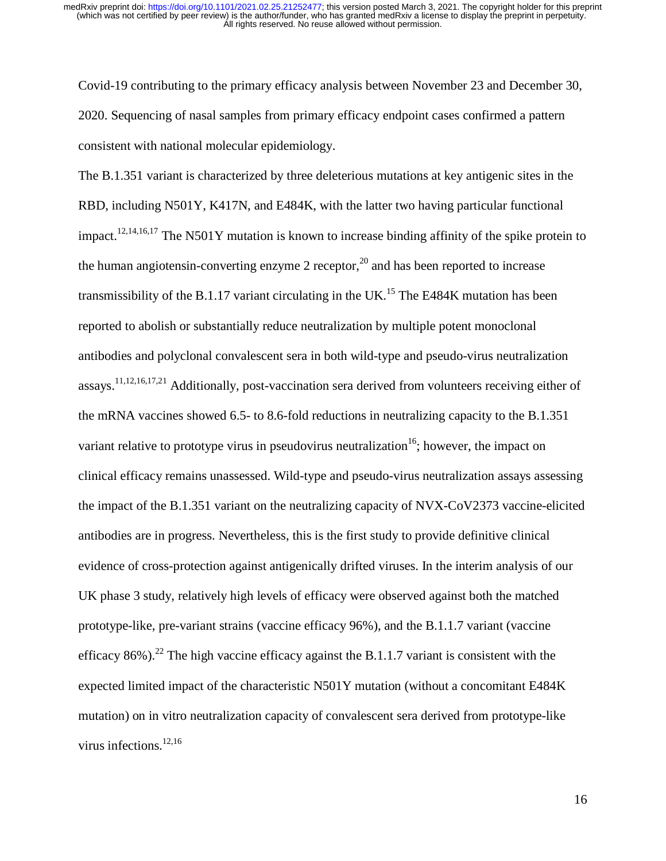Covid-19 contributing to the primary efficacy analysis between November 23 and December 30, 2020. Sequencing of nasal samples from primary efficacy endpoint cases confirmed a pattern consistent with national molecular epidemiology.

The B.1.351 variant is characterized by three deleterious mutations at key antigenic sites in the RBD, including N501Y, K417N, and E484K, with the latter two having particular functional impact.<sup>12,14,16,17</sup> The N501Y mutation is known to increase binding affinity of the spike protein to the human angiotensin-converting enzyme 2 receptor,<sup>20</sup> and has been reported to increase transmissibility of the B.1.17 variant circulating in the UK.<sup>15</sup> The E484K mutation has been reported to abolish or substantially reduce neutralization by multiple potent monoclonal antibodies and polyclonal convalescent sera in both wild-type and pseudo-virus neutralization assays.11,12,16,17,21 Additionally, post-vaccination sera derived from volunteers receiving either of the mRNA vaccines showed 6.5- to 8.6-fold reductions in neutralizing capacity to the B.1.351 variant relative to prototype virus in pseudovirus neutralization<sup>16</sup>; however, the impact on clinical efficacy remains unassessed. Wild-type and pseudo-virus neutralization assays assessing the impact of the B.1.351 variant on the neutralizing capacity of NVX-CoV2373 vaccine-elicited antibodies are in progress. Nevertheless, this is the first study to provide definitive clinical evidence of cross-protection against antigenically drifted viruses. In the interim analysis of our UK phase 3 study, relatively high levels of efficacy were observed against both the matched prototype-like, pre-variant strains (vaccine efficacy 96%), and the B.1.1.7 variant (vaccine efficacy 86%).<sup>22</sup> The high vaccine efficacy against the B.1.1.7 variant is consistent with the expected limited impact of the characteristic N501Y mutation (without a concomitant E484K mutation) on in vitro neutralization capacity of convalescent sera derived from prototype-like virus infections.<sup>12,16</sup>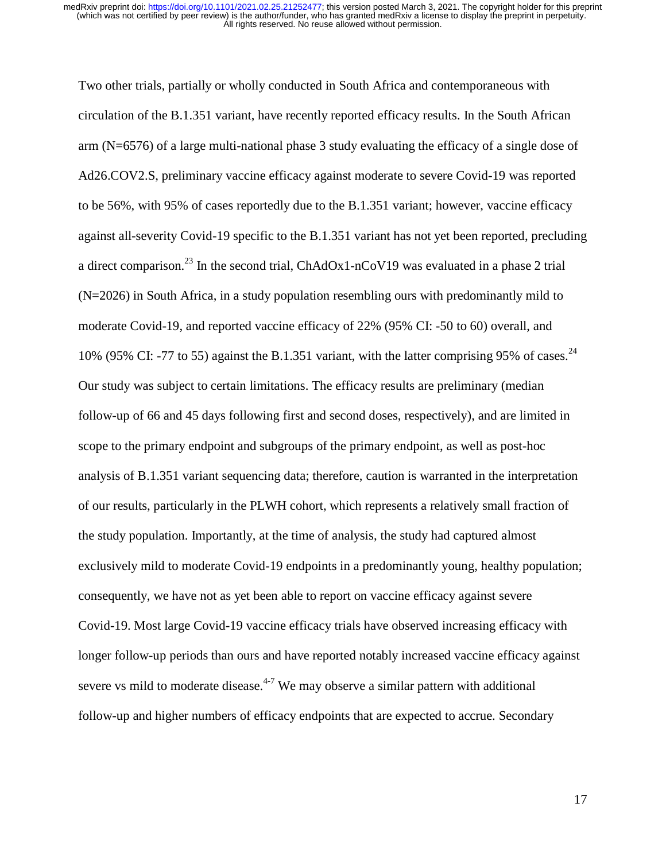Two other trials, partially or wholly conducted in South Africa and contemporaneous with circulation of the B.1.351 variant, have recently reported efficacy results. In the South African arm (N=6576) of a large multi-national phase 3 study evaluating the efficacy of a single dose of Ad26.COV2.S, preliminary vaccine efficacy against moderate to severe Covid-19 was reported to be 56%, with 95% of cases reportedly due to the B.1.351 variant; however, vaccine efficacy against all-severity Covid-19 specific to the B.1.351 variant has not yet been reported, precluding a direct comparison.<sup>23</sup> In the second trial, ChAdOx1-nCoV19 was evaluated in a phase 2 trial (N=2026) in South Africa, in a study population resembling ours with predominantly mild to moderate Covid-19, and reported vaccine efficacy of 22% (95% CI: -50 to 60) overall, and 10% (95% CI: -77 to 55) against the B.1.351 variant, with the latter comprising 95% of cases.<sup>24</sup> Our study was subject to certain limitations. The efficacy results are preliminary (median follow-up of 66 and 45 days following first and second doses, respectively), and are limited in scope to the primary endpoint and subgroups of the primary endpoint, as well as post-hoc analysis of B.1.351 variant sequencing data; therefore, caution is warranted in the interpretation of our results, particularly in the PLWH cohort, which represents a relatively small fraction of the study population. Importantly, at the time of analysis, the study had captured almost exclusively mild to moderate Covid-19 endpoints in a predominantly young, healthy population; consequently, we have not as yet been able to report on vaccine efficacy against severe Covid-19. Most large Covid-19 vaccine efficacy trials have observed increasing efficacy with longer follow-up periods than ours and have reported notably increased vaccine efficacy against severe vs mild to moderate disease. $4-7$  We may observe a similar pattern with additional follow-up and higher numbers of efficacy endpoints that are expected to accrue. Secondary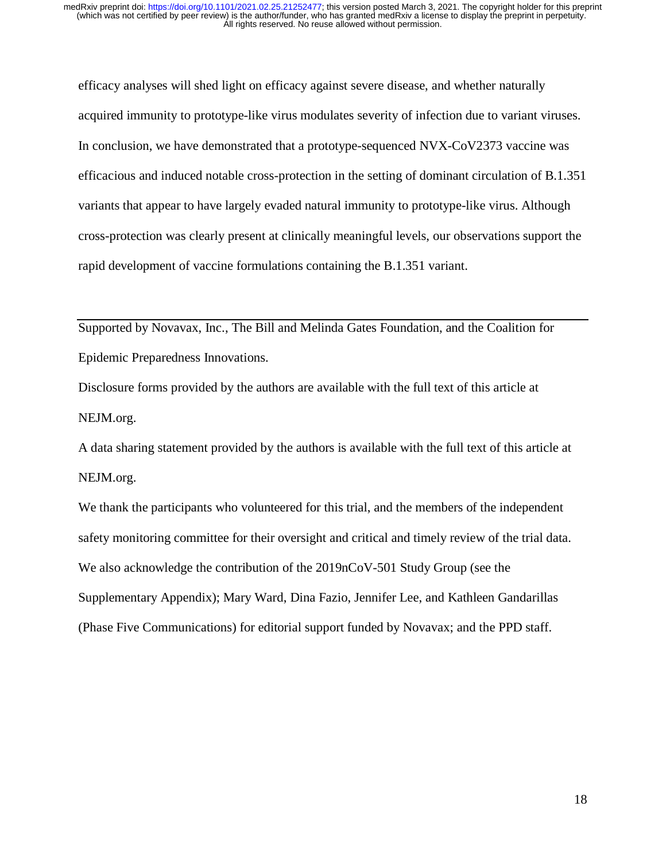efficacy analyses will shed light on efficacy against severe disease, and whether naturally acquired immunity to prototype-like virus modulates severity of infection due to variant viruses. In conclusion, we have demonstrated that a prototype-sequenced NVX-CoV2373 vaccine was efficacious and induced notable cross-protection in the setting of dominant circulation of B.1.351 variants that appear to have largely evaded natural immunity to prototype-like virus. Although cross-protection was clearly present at clinically meaningful levels, our observations support the rapid development of vaccine formulations containing the B.1.351 variant.

Supported by Novavax, Inc., The Bill and Melinda Gates Foundation, and the Coalition for Epidemic Preparedness Innovations.

Disclosure forms provided by the authors are available with the full text of this article at NEJM.org.

A data sharing statement provided by the authors is available with the full text of this article at NEJM.org.

We thank the participants who volunteered for this trial, and the members of the independent safety monitoring committee for their oversight and critical and timely review of the trial data. We also acknowledge the contribution of the 2019nCoV-501 Study Group (see the Supplementary Appendix); Mary Ward, Dina Fazio, Jennifer Lee, and Kathleen Gandarillas (Phase Five Communications) for editorial support funded by Novavax; and the PPD staff.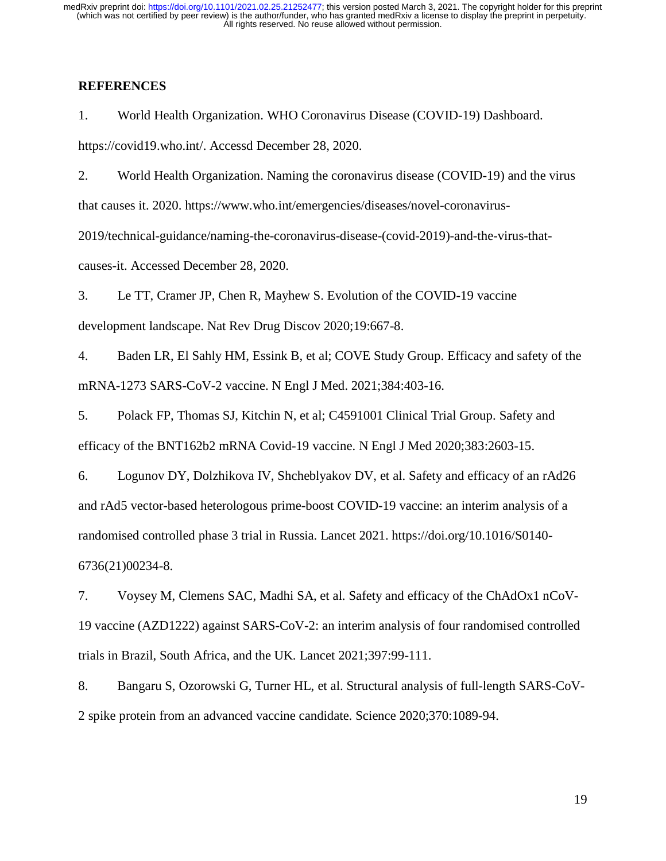## **REFERENCES**

1. World Health Organization. WHO Coronavirus Disease (COVID-19) Dashboard. https://covid19.who.int/. Accessd December 28, 2020.

2. World Health Organization. Naming the coronavirus disease (COVID-19) and the virus that causes it. 2020. https://www.who.int/emergencies/diseases/novel-coronavirus-2019/technical-guidance/naming-the-coronavirus-disease-(covid-2019)-and-the-virus-thatcauses-it. Accessed December 28, 2020.

3. Le TT, Cramer JP, Chen R, Mayhew S. Evolution of the COVID-19 vaccine development landscape. Nat Rev Drug Discov 2020;19:667-8.

4. Baden LR, El Sahly HM, Essink B, et al; COVE Study Group. Efficacy and safety of the mRNA-1273 SARS-CoV-2 vaccine. N Engl J Med. 2021;384:403-16.

5. Polack FP, Thomas SJ, Kitchin N, et al; C4591001 Clinical Trial Group. Safety and efficacy of the BNT162b2 mRNA Covid-19 vaccine. N Engl J Med 2020;383:2603-15.

6. Logunov DY, Dolzhikova IV, Shcheblyakov DV, et al. Safety and efficacy of an rAd26 and rAd5 vector-based heterologous prime-boost COVID-19 vaccine: an interim analysis of a randomised controlled phase 3 trial in Russia. Lancet 2021. https://doi.org/10.1016/S0140- 6736(21)00234-8.

7. Voysey M, Clemens SAC, Madhi SA, et al. Safety and efficacy of the ChAdOx1 nCoV-19 vaccine (AZD1222) against SARS-CoV-2: an interim analysis of four randomised controlled trials in Brazil, South Africa, and the UK. Lancet 2021;397:99-111.

8. Bangaru S, Ozorowski G, Turner HL, et al. Structural analysis of full-length SARS-CoV-2 spike protein from an advanced vaccine candidate. Science 2020;370:1089-94.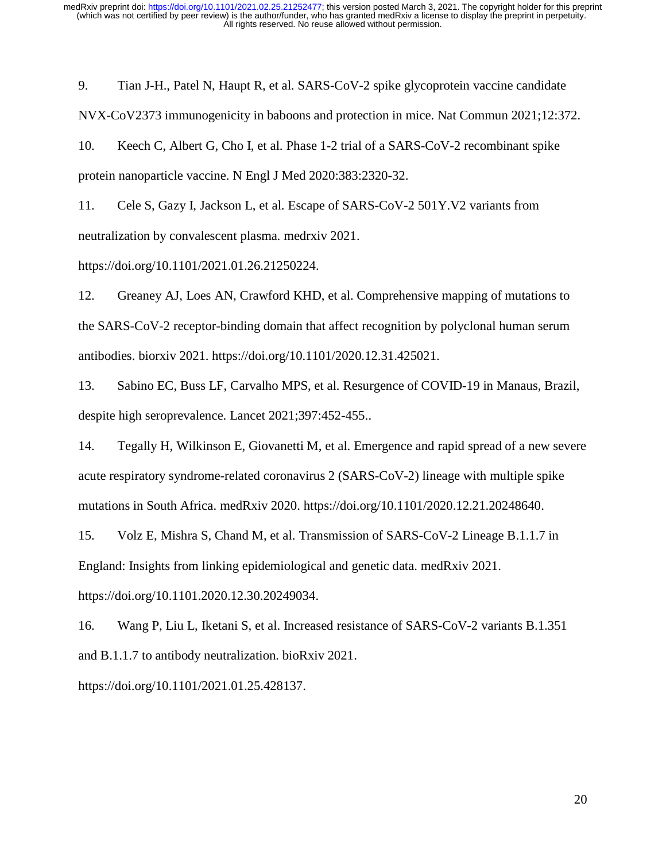9. Tian J-H., Patel N, Haupt R, et al. SARS-CoV-2 spike glycoprotein vaccine candidate NVX-CoV2373 immunogenicity in baboons and protection in mice. Nat Commun 2021;12:372. 10. Keech C, Albert G, Cho I, et al. Phase 1-2 trial of a SARS-CoV-2 recombinant spike

protein nanoparticle vaccine. N Engl J Med 2020:383:2320-32.

11. Cele S, Gazy I, Jackson L, et al. Escape of SARS-CoV-2 501Y.V2 variants from neutralization by convalescent plasma. medrxiv 2021.

https://doi.org/10.1101/2021.01.26.21250224.

12. Greaney AJ, Loes AN, Crawford KHD, et al. Comprehensive mapping of mutations to the SARS-CoV-2 receptor-binding domain that affect recognition by polyclonal human serum antibodies. biorxiv 2021. https://doi.org/10.1101/2020.12.31.425021.

13. Sabino EC, Buss LF, Carvalho MPS, et al. Resurgence of COVID-19 in Manaus, Brazil, despite high seroprevalence. Lancet 2021;397:452-455..

14. Tegally H, Wilkinson E, Giovanetti M, et al. Emergence and rapid spread of a new severe acute respiratory syndrome-related coronavirus 2 (SARS-CoV-2) lineage with multiple spike mutations in South Africa. medRxiv 2020. https://doi.org/10.1101/2020.12.21.20248640.

15. Volz E, Mishra S, Chand M, et al. Transmission of SARS-CoV-2 Lineage B.1.1.7 in England: Insights from linking epidemiological and genetic data. medRxiv 2021.

https://doi.org/10.1101.2020.12.30.20249034.

16. Wang P, Liu L, Iketani S, et al. Increased resistance of SARS-CoV-2 variants B.1.351 and B.1.1.7 to antibody neutralization. bioRxiv 2021.

https://doi.org/10.1101/2021.01.25.428137.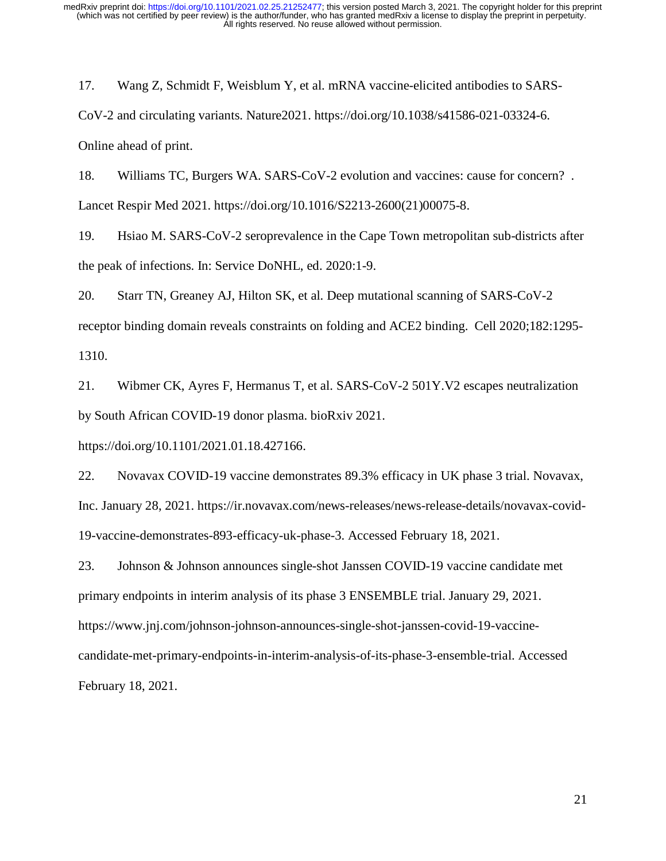17. Wang Z, Schmidt F, Weisblum Y, et al. mRNA vaccine-elicited antibodies to SARS-CoV-2 and circulating variants. Nature2021. https://doi.org/10.1038/s41586-021-03324-6. Online ahead of print.

18. Williams TC, Burgers WA. SARS-CoV-2 evolution and vaccines: cause for concern? . Lancet Respir Med 2021. https://doi.org/10.1016/S2213-2600(21)00075-8.

19. Hsiao M. SARS-CoV-2 seroprevalence in the Cape Town metropolitan sub-districts after the peak of infections. In: Service DoNHL, ed. 2020:1-9.

20. Starr TN, Greaney AJ, Hilton SK, et al. Deep mutational scanning of SARS-CoV-2 receptor binding domain reveals constraints on folding and ACE2 binding. Cell 2020;182:1295- 1310.

21. Wibmer CK, Ayres F, Hermanus T, et al. SARS-CoV-2 501Y.V2 escapes neutralization by South African COVID-19 donor plasma. bioRxiv 2021.

https://doi.org/10.1101/2021.01.18.427166.

22. Novavax COVID-19 vaccine demonstrates 89.3% efficacy in UK phase 3 trial. Novavax, Inc. January 28, 2021. https://ir.novavax.com/news-releases/news-release-details/novavax-covid-19-vaccine-demonstrates-893-efficacy-uk-phase-3. Accessed February 18, 2021.

23. Johnson & Johnson announces single-shot Janssen COVID-19 vaccine candidate met primary endpoints in interim analysis of its phase 3 ENSEMBLE trial. January 29, 2021. https://www.jnj.com/johnson-johnson-announces-single-shot-janssen-covid-19-vaccinecandidate-met-primary-endpoints-in-interim-analysis-of-its-phase-3-ensemble-trial. Accessed February 18, 2021.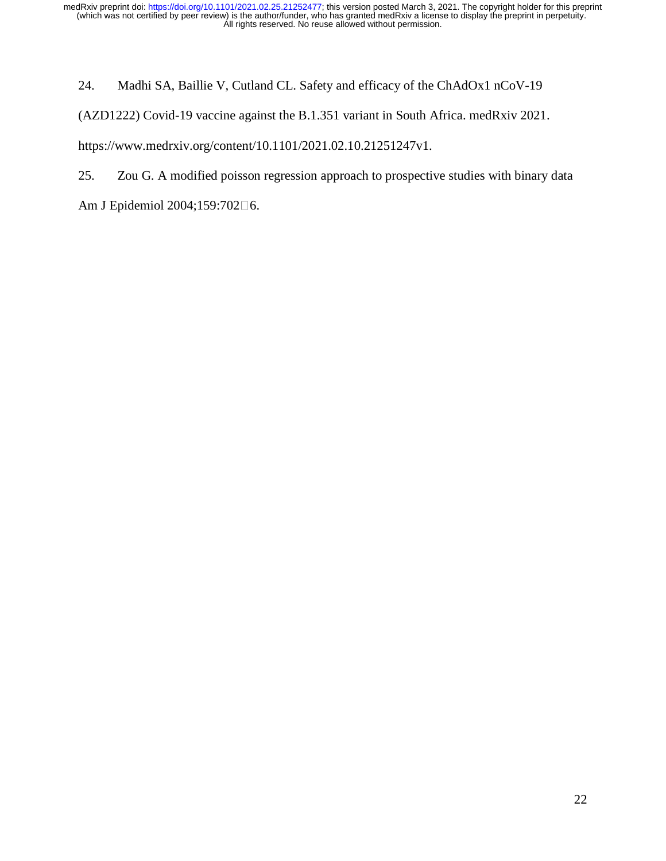24. Madhi SA, Baillie V, Cutland CL. Safety and efficacy of the ChAdOx1 nCoV-19

(AZD1222) Covid-19 vaccine against the B.1.351 variant in South Africa. medRxiv 2021.

https://www.medrxiv.org/content/10.1101/2021.02.10.21251247v1.

25. Zou G. A modified poisson regression approach to prospective studies with binary data

Am J Epidemiol 2004;159:702□6.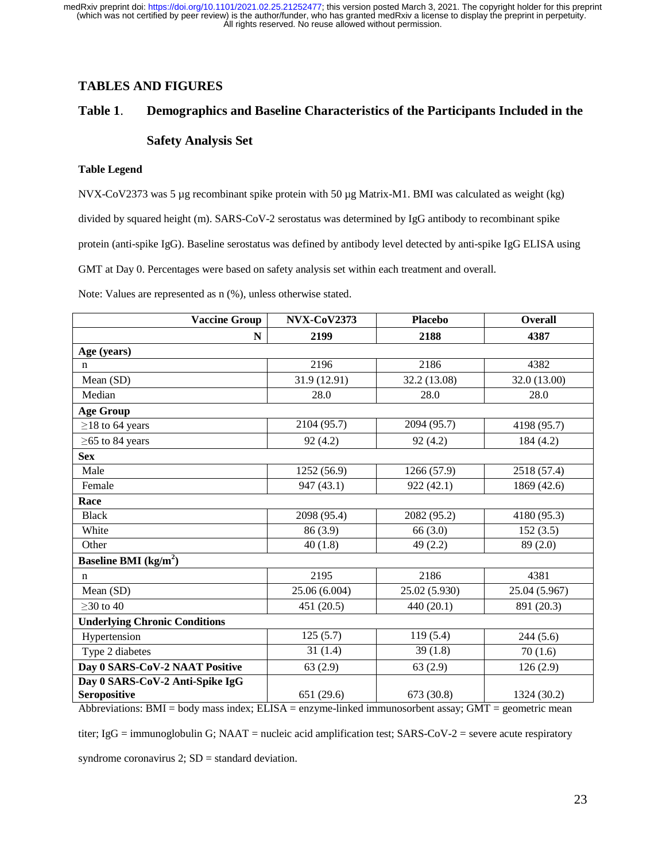# **TABLES AND FIGURES**

## **Table 1**. **Demographics and Baseline Characteristics of the Participants Included in the**

#### **Safety Analysis Set**

#### **Table Legend**

NVX-CoV2373 was 5 µg recombinant spike protein with 50 µg Matrix-M1. BMI was calculated as weight (kg) divided by squared height (m). SARS-CoV-2 serostatus was determined by IgG antibody to recombinant spike protein (anti-spike IgG). Baseline serostatus was defined by antibody level detected by anti-spike IgG ELISA using GMT at Day 0. Percentages were based on safety analysis set within each treatment and overall.

Note: Values are represented as n (%), unless otherwise stated.

| <b>Vaccine Group</b>                 | <b>NVX-CoV2373</b> | <b>Placebo</b> | <b>Overall</b><br>4387 |  |  |  |  |  |
|--------------------------------------|--------------------|----------------|------------------------|--|--|--|--|--|
| N                                    | 2199               | 2188           |                        |  |  |  |  |  |
| Age (years)                          |                    |                |                        |  |  |  |  |  |
| $\mathbf n$                          | 2196               | 2186           | 4382                   |  |  |  |  |  |
| Mean (SD)                            | 31.9 (12.91)       | 32.2 (13.08)   | 32.0 (13.00)           |  |  |  |  |  |
| Median                               | 28.0               | 28.0           | 28.0                   |  |  |  |  |  |
| <b>Age Group</b>                     |                    |                |                        |  |  |  |  |  |
| $\geq$ 18 to 64 years                | 2104 (95.7)        | 2094 (95.7)    | 4198 (95.7)            |  |  |  |  |  |
| $\geq$ 65 to 84 years                | 92(4.2)            | 92(4.2)        | 184(4.2)               |  |  |  |  |  |
| <b>Sex</b>                           |                    |                |                        |  |  |  |  |  |
| Male                                 | 1252 (56.9)        | 1266 (57.9)    | 2518 (57.4)            |  |  |  |  |  |
| Female                               | 947 (43.1)         | 922(42.1)      | 1869 (42.6)            |  |  |  |  |  |
| Race                                 |                    |                |                        |  |  |  |  |  |
| <b>Black</b>                         | 2098 (95.4)        | 2082 (95.2)    | 4180 (95.3)            |  |  |  |  |  |
| White                                | 86 (3.9)           | 66 (3.0)       | 152(3.5)               |  |  |  |  |  |
| Other                                | 40(1.8)            | 49(2.2)        | 89(2.0)                |  |  |  |  |  |
| Baseline BMI $(kg/m2)$               |                    |                |                        |  |  |  |  |  |
| $\mathbf n$                          | 2195               | 2186           | 4381                   |  |  |  |  |  |
| Mean (SD)                            | 25.06 (6.004)      | 25.02 (5.930)  | 25.04 (5.967)          |  |  |  |  |  |
| $>30$ to $40$                        | 451 (20.5)         | 440 (20.1)     | 891 (20.3)             |  |  |  |  |  |
| <b>Underlying Chronic Conditions</b> |                    |                |                        |  |  |  |  |  |
| Hypertension                         | 125(5.7)           | 119(5.4)       | 244(5.6)               |  |  |  |  |  |
| Type 2 diabetes                      | 31(1.4)            | 39(1.8)        | 70(1.6)                |  |  |  |  |  |
| Day 0 SARS-CoV-2 NAAT Positive       | 63(2.9)            | 63(2.9)        | 126(2.9)               |  |  |  |  |  |
| Day 0 SARS-CoV-2 Anti-Spike IgG      |                    |                |                        |  |  |  |  |  |
| Seropositive                         | 651 (29.6)         | 673 (30.8)     | 1324 (30.2)            |  |  |  |  |  |

Abbreviations: BMI = body mass index; ELISA = enzyme-linked immunosorbent assay; GMT = geometric mean

titer; IgG = immunoglobulin G; NAAT = nucleic acid amplification test; SARS-CoV-2 = severe acute respiratory

syndrome coronavirus  $2$ ;  $SD =$  standard deviation.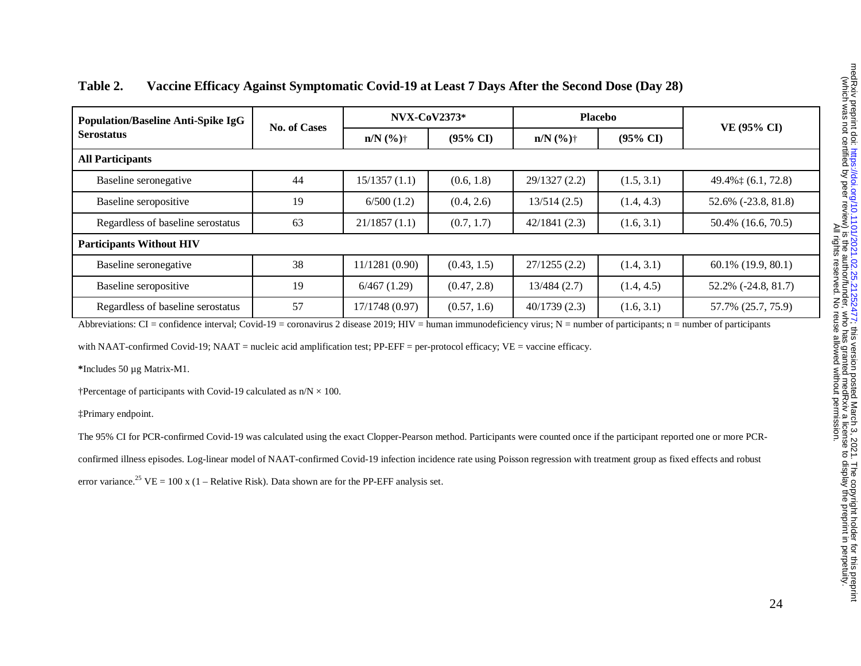| <b>Population/Baseline Anti-Spike IgG</b><br><b>Serostatus</b> | No. of Cases | <b>NVX-CoV2373*</b> |                     | <b>Placebo</b>         |                     |                              |  |  |
|----------------------------------------------------------------|--------------|---------------------|---------------------|------------------------|---------------------|------------------------------|--|--|
|                                                                |              | $n/N$ (%)†          | $(95\% \text{ CI})$ | $n/N$ (%) <sup>+</sup> | $(95\% \text{ CI})$ | VE (95% CI)                  |  |  |
| <b>All Participants</b>                                        |              |                     |                     |                        |                     |                              |  |  |
| Baseline seronegative                                          | 44           | 15/1357(1.1)        | (0.6, 1.8)          | 29/1327(2.2)           | (1.5, 3.1)          | 49.4% $\ddagger$ (6.1, 72.8) |  |  |
| Baseline seropositive                                          | 19           | 6/500(1.2)          | (0.4, 2.6)          | 13/514(2.5)            | (1.4, 4.3)          | 52.6% (-23.8, 81.8)          |  |  |
| Regardless of baseline serostatus                              | 63           | 21/1857(1.1)        | (0.7, 1.7)          | 42/1841(2.3)           | (1.6, 3.1)          | 50.4% (16.6, 70.5)           |  |  |
| <b>Participants Without HIV</b>                                |              |                     |                     |                        |                     |                              |  |  |
| Baseline seronegative                                          | 38           | 11/1281 (0.90)      | (0.43, 1.5)         | 27/1255(2.2)           | (1.4, 3.1)          | 60.1% (19.9, 80.1)           |  |  |
| Baseline seropositive                                          | 19           | 6/467(1.29)         | (0.47, 2.8)         | 13/484(2.7)            | (1.4, 4.5)          | 52.2% (-24.8, 81.7)          |  |  |
| Regardless of baseline serostatus                              | 57           | 17/1748 (0.97)      | (0.57, 1.6)         | 40/1739(2.3)           | (1.6, 3.1)          | 57.7% (25.7, 75.9)           |  |  |

# **Table 2. Vaccine Efficacy Against Symptomatic Covid-19 at Least 7 Days After the Second Dose (Day 28)**

Abbreviations: CI = confidence interval; Covid-19 = coronavirus 2 disease 2019; HIV = human immunodeficiency virus; N = number of participants; n = number of participants

with NAAT-confirmed Covid-19; NAAT = nucleic acid amplification test; PP-EFF = per-protocol efficacy; VE = vaccine efficacy.

**\***Includes 50 µg Matrix-M1.

†Percentage of participants with Covid-19 calculated as  $n/N \times 100$ .

‡Primary endpoint.

The 95% CI for PCR-confirmed Covid-19 was calculated using the exact Clopper-Pearson method. Participants were counted once if the participant reported one or more PCR-

confirmed illness episodes. Log-linear model of NAAT-confirmed Covid-19 infection incidence rate using Poisson regression with treatment group as fixed effects and robust

error variance.<sup>25</sup> VE = 100 x (1 – Relative Risk). Data shown are for the PP-EFF analysis set.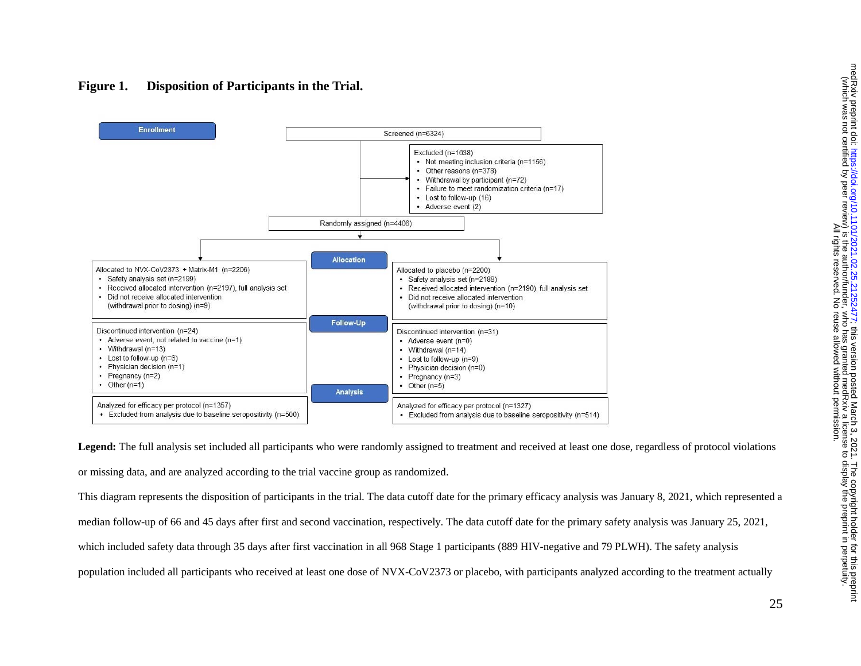

# **Figure 1. Disposition of Participants in the Trial.**

Legend: The full analysis set included all participants who were randomly assigned to treatment and received at least one dose, regardless of protocol violations or missing data, and are analyzed according to the trial vaccine group as randomized.

This diagram represents the disposition of participants in the trial. The data cutoff date for the primary efficacy analysis was January 8, 2021, which represented a median follow-up of 66 and 45 days after first and second vaccination, respectively. The data cutoff date for the primary safety analysis was January 25, 2021, which included safety data through 35 days after first vaccination in all 968 Stage 1 participants (889 HIV-negative and 79 PLWH). The safety analysis population included all participants who received at least one dose of NVX-CoV2373 or placebo, with participants analyzed according to the treatment actually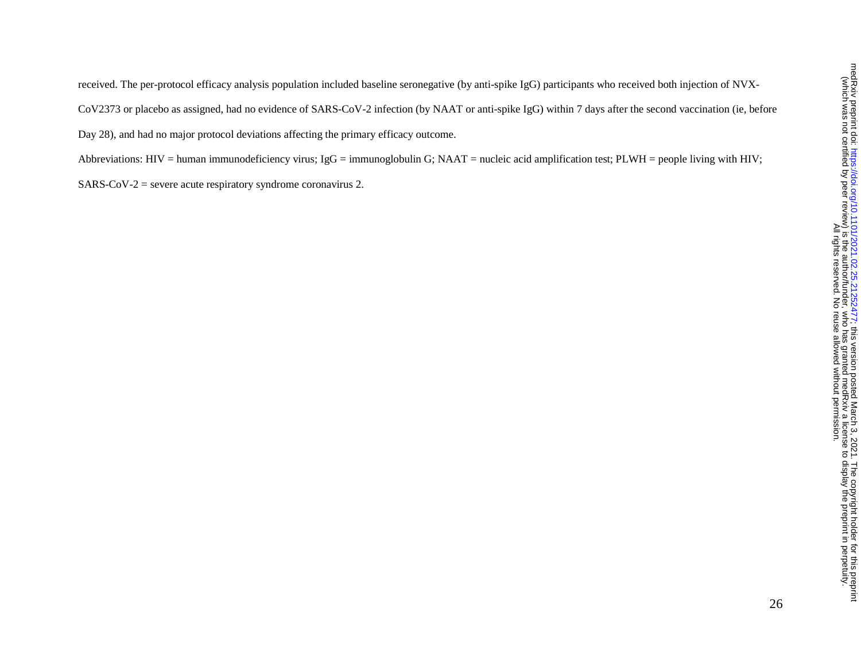received. The per-protocol efficacy analysis population included baseline seronegative (by anti-spike IgG) participants who received both injection of NVX-CoV2373 or placebo as assigned, had no evidence of SARS-CoV-2 infection (by NAAT or anti-spike IgG) within 7 days after the second vaccination (ie, before Day 28), and had no major protocol deviations affecting the primary efficacy outcome.

Abbreviations: HIV = human immunodeficiency virus; IgG = immunoglobulin G; NAAT = nucleic acid amplification test; PLWH = people living with HIV;  $SARS-CoV-2$  = severe acute respiratory syndrome coronavirus 2.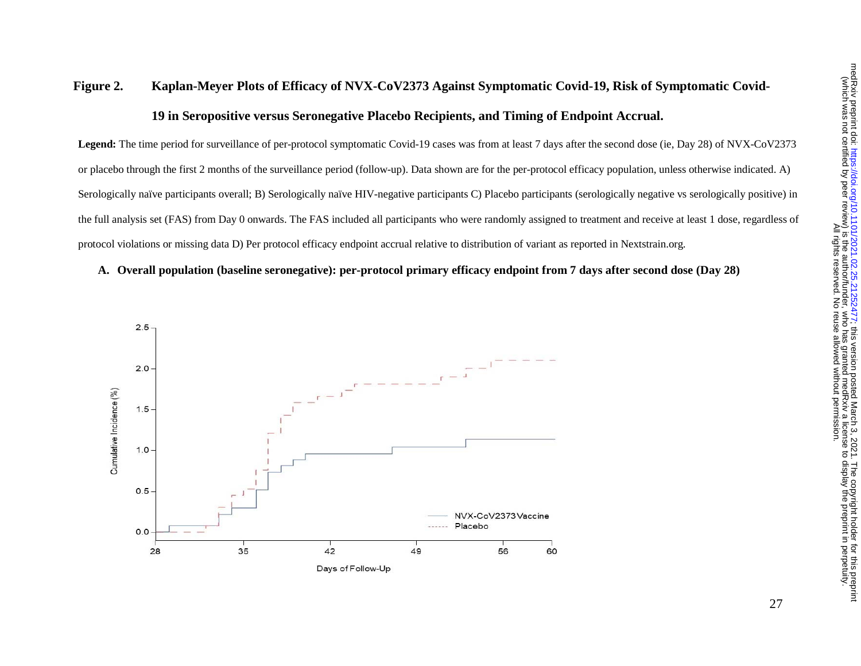# **Figure 2. Kaplan-Meyer Plots of Efficacy of NVX-CoV2373 Against Symptomatic Covid-19, Risk of Symptomatic Covid-19 in Seropositive versus Seronegative Placebo Recipients, and Timing of Endpoint Accrual.**

**Legend:** The time period for surveillance of per-protocol symptomatic Covid-19 cases was from at least 7 days after the second dose (ie, Day 28) of NVX-CoV2373 or placebo through the first 2 months of the surveillance period (follow-up). Data shown are for the per-protocol efficacy population, unless otherwise indicated. A) Serologically naïve participants overall; B) Serologically naïve HIV-negative participants C) Placebo participants (serologically negative vs serologically positive) in the full analysis set (FAS) from Day 0 onwards. The FAS included all participants who were randomly assigned to treatment and receive at least 1 dose, regardless of protocol violations or missing data D) Per protocol efficacy endpoint accrual relative to distribution of variant as reported in Nextstrain.org.

#### **A. Overall population (baseline seronegative): per-protocol primary efficacy endpoint from 7 days after second dose (Day 28)**

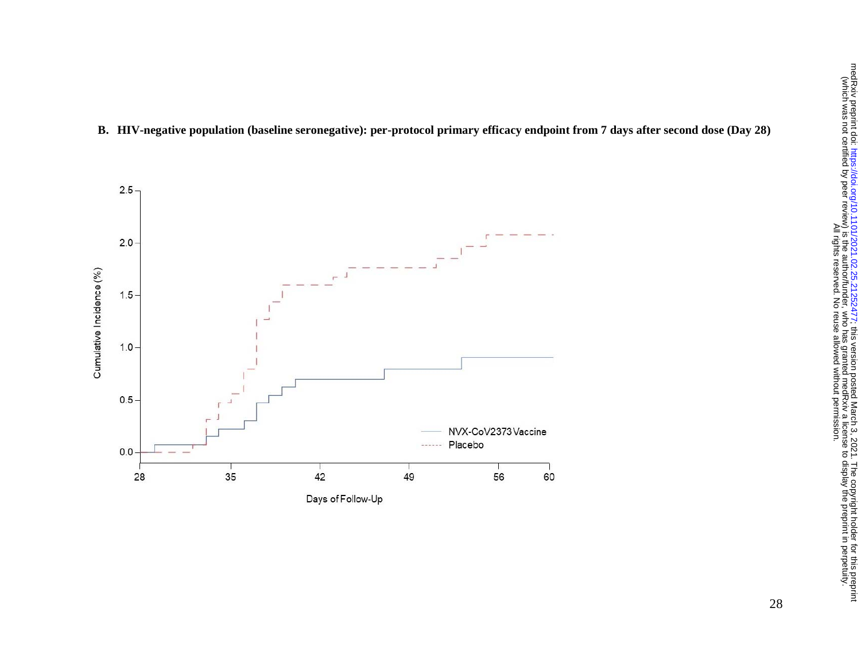

#### **B. HIV-negative population (baseline seronegative): per-protocol primary efficacy endpoint from 7 days after second dose (Day 28)**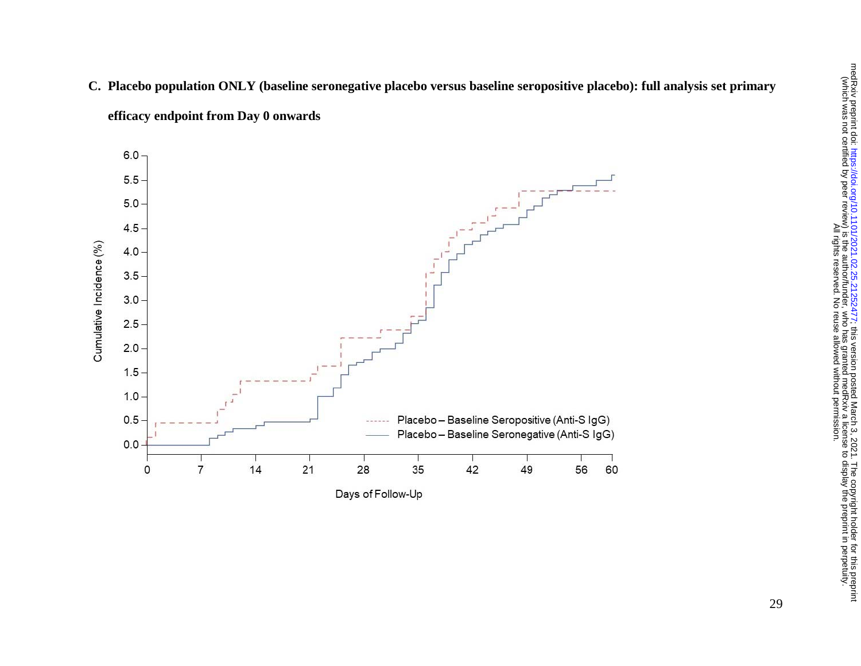

**C. Placebo population ONLY (baseline seronegative placebo versus baseline seropositive placebo): full analysis set primary efficacy endpoint from Day 0 onwards**